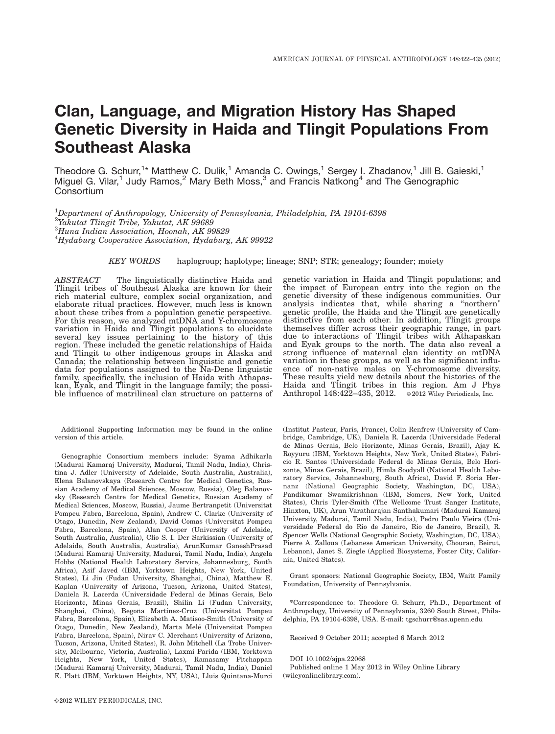# Clan, Language, and Migration History Has Shaped Genetic Diversity in Haida and Tlingit Populations From Southeast Alaska

Theodore G. Schurr,<sup>1\*</sup> Matthew C. Dulik,<sup>1</sup> Amanda C. Owings,<sup>1</sup> Sergey I. Zhadanov,<sup>1</sup> Jill B. Gaieski,<sup>1</sup> Miguel G. Vilar,<sup>1</sup> Judy Ramos,<sup>2</sup> Mary Beth Moss,<sup>3</sup> and Francis Natkong<sup>4</sup> and The Genographic **Consortium** 

 $^{1}$ Department of Anthropology, University of Pennsylvania, Philadelphia, PA 19104-6398 Yakutat Tlingit Tribe, Yakutat, AK 99689 Huna Indian Association, Hoonah, AK 99829 Hydaburg Cooperative Association, Hydaburg, AK 99922

KEY WORDS haplogroup; haplotype; lineage; SNP; STR; genealogy; founder; moiety

ABSTRACT The linguistically distinctive Haida and Tlingit tribes of Southeast Alaska are known for their rich material culture, complex social organization, and elaborate ritual practices. However, much less is known about these tribes from a population genetic perspective. For this reason, we analyzed mtDNA and Y-chromosome variation in Haida and Tlingit populations to elucidate several key issues pertaining to the history of this region. These included the genetic relationships of Haida and Tlingit to other indigenous groups in Alaska and Canada; the relationship between linguistic and genetic data for populations assigned to the Na-Dene linguistic family, specifically, the inclusion of Haida with Athapaskan, Eyak, and Tlingit in the language family; the possible influence of matrilineal clan structure on patterns of

 $@2012$  WILEY PERIODICALS, INC.

genetic variation in Haida and Tlingit populations; and the impact of European entry into the region on the genetic diversity of these indigenous communities. Our analysis indicates that, while sharing a ''northern" genetic profile, the Haida and the Tlingit are genetically distinctive from each other. In addition, Tlingit groups themselves differ across their geographic range, in part due to interactions of Tlingit tribes with Athapaskan and Eyak groups to the north. The data also reveal a strong influence of maternal clan identity on mtDNA variation in these groups, as well as the significant influence of non-native males on Y-chromosome diversity. These results yield new details about the histories of the Haida and Tlingit tribes in this region. Am J Phys Anthropol  $148:422-435$ ,  $2012$ .  $\circ$  2012 Wiley Periodicals, Inc.

(Institut Pasteur, Paris, France), Colin Renfrew (University of Cambridge, Cambridge, UK), Daniela R. Lacerda (Universidade Federal de Minas Gerais, Belo Horizonte, Minas Gerais, Brazil), Ajay K. Royyuru (IBM, Yorktown Heights, New York, United States), Fabrı´ cio R. Santos (Universidade Federal de Minas Gerais, Belo Horizonte, Minas Gerais, Brazil), Himla Soodyall (National Health Laboratory Service, Johannesburg, South Africa), David F. Soria Hernanz (National Geographic Society, Washington, DC, USA), Pandikumar Swamikrishnan (IBM, Somers, New York, United States), Chris Tyler-Smith (The Wellcome Trust Sanger Institute, Hinxton, UK), Arun Varatharajan Santhakumari (Madurai Kamaraj University, Madurai, Tamil Nadu, India), Pedro Paulo Vieira (Universidade Federal do Rio de Janeiro, Rio de Janeiro, Brazil), R. Spencer Wells (National Geographic Society, Washington, DC, USA), Pierre A. Zalloua (Lebanese American University, Chouran, Beirut, Lebanon), Janet S. Ziegle (Applied Biosystems, Foster City, California, United States).

Grant sponsors: National Geographic Society, IBM, Waitt Family Foundation, University of Pennsylvania.

\*Correspondence to: Theodore G. Schurr, Ph.D., Department of Anthropology, University of Pennsylvania, 3260 South Street, Philadelphia, PA 19104-6398, USA. E-mail: tgschurr@sas.upenn.edu

Received 9 October 2011; accepted 6 March 2012

DOI 10.1002/ajpa.22068

Published online 1 May 2012 in Wiley Online Library (wileyonlinelibrary.com).

Additional Supporting Information may be found in the online version of this article.

Genographic Consortium members include: Syama Adhikarla (Madurai Kamaraj University, Madurai, Tamil Nadu, India), Christina J. Adler (University of Adelaide, South Australia, Australia), Elena Balanovskaya (Research Centre for Medical Genetics, Russian Academy of Medical Sciences, Moscow, Russia), Oleg Balanovsky (Research Centre for Medical Genetics, Russian Academy of Medical Sciences, Moscow, Russia), Jaume Bertranpetit (Universitat Pompeu Fabra, Barcelona, Spain), Andrew C. Clarke (University of Otago, Dunedin, New Zealand), David Comas (Universitat Pompeu Fabra, Barcelona, Spain), Alan Cooper (University of Adelaide, South Australia, Australia), Clio S. I. Der Sarkissian (University of Adelaide, South Australia, Australia), ArunKumar GaneshPrasad (Madurai Kamaraj University, Madurai, Tamil Nadu, India), Angela Hobbs (National Health Laboratory Service, Johannesburg, South Africa), Asif Javed (IBM, Yorktown Heights, New York, United States), Li Jin (Fudan University, Shanghai, China), Matthew E. Kaplan (University of Arizona, Tucson, Arizona, United States), Daniela R. Lacerda (Universidade Federal de Minas Gerais, Belo Horizonte, Minas Gerais, Brazil), Shilin Li (Fudan University, Shanghai, China), Begoña Martínez-Cruz (Universitat Pompeu Fabra, Barcelona, Spain), Elizabeth A. Matisoo-Smith (University of Otago, Dunedin, New Zealand), Marta Melé (Universitat Pompeu Fabra, Barcelona, Spain), Nirav C. Merchant (University of Arizona, Tucson, Arizona, United States), R. John Mitchell (La Trobe University, Melbourne, Victoria, Australia), Laxmi Parida (IBM, Yorktown Heights, New York, United States), Ramasamy Pitchappan (Madurai Kamaraj University, Madurai, Tamil Nadu, India), Daniel E. Platt (IBM, Yorktown Heights, NY, USA), Lluis Quintana-Murci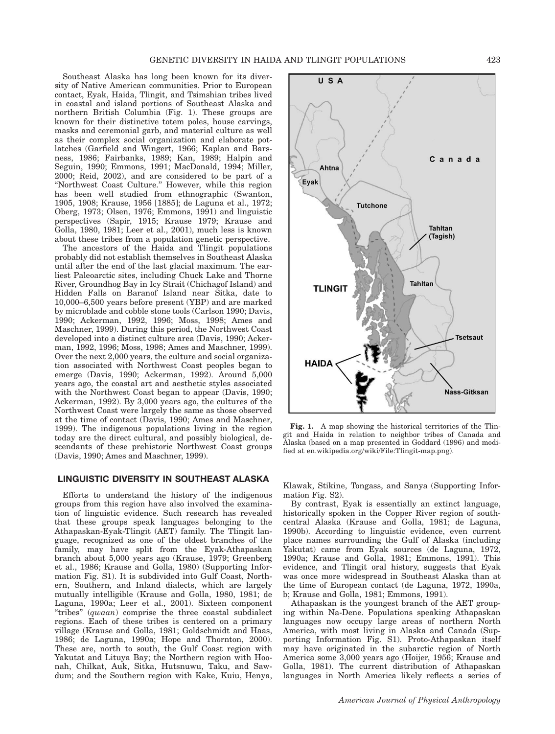Southeast Alaska has long been known for its diversity of Native American communities. Prior to European contact, Eyak, Haida, Tlingit, and Tsimshian tribes lived in coastal and island portions of Southeast Alaska and northern British Columbia (Fig. 1). These groups are known for their distinctive totem poles, house carvings, masks and ceremonial garb, and material culture as well as their complex social organization and elaborate potlatches (Garfield and Wingert, 1966; Kaplan and Barsness, 1986; Fairbanks, 1989; Kan, 1989; Halpin and Seguin, 1990; Emmons, 1991; MacDonald, 1994; Miller, 2000; Reid, 2002), and are considered to be part of a ''Northwest Coast Culture.'' However, while this region has been well studied from ethnographic (Swanton, 1905, 1908; Krause, 1956 [1885]; de Laguna et al., 1972; Oberg, 1973; Olsen, 1976; Emmons, 1991) and linguistic perspectives (Sapir, 1915; Krause 1979; Krause and Golla, 1980, 1981; Leer et al., 2001), much less is known about these tribes from a population genetic perspective.

The ancestors of the Haida and Tlingit populations probably did not establish themselves in Southeast Alaska until after the end of the last glacial maximum. The earliest Paleoarctic sites, including Chuck Lake and Thorne River, Groundhog Bay in Icy Strait (Chichagof Island) and Hidden Falls on Baranof Island near Sitka, date to 10,000–6,500 years before present (YBP) and are marked by microblade and cobble stone tools (Carlson 1990; Davis, 1990; Ackerman, 1992, 1996; Moss, 1998; Ames and Maschner, 1999). During this period, the Northwest Coast developed into a distinct culture area (Davis, 1990; Ackerman, 1992, 1996; Moss, 1998; Ames and Maschner, 1999). Over the next 2,000 years, the culture and social organization associated with Northwest Coast peoples began to emerge (Davis, 1990; Ackerman, 1992). Around 5,000 years ago, the coastal art and aesthetic styles associated with the Northwest Coast began to appear (Davis, 1990; Ackerman, 1992). By 3,000 years ago, the cultures of the Northwest Coast were largely the same as those observed at the time of contact (Davis, 1990; Ames and Maschner, 1999). The indigenous populations living in the region today are the direct cultural, and possibly biological, descendants of these prehistoric Northwest Coast groups (Davis, 1990; Ames and Maschner, 1999).

# LINGUISTIC DIVERSITY IN SOUTHEAST ALASKA

Efforts to understand the history of the indigenous groups from this region have also involved the examination of linguistic evidence. Such research has revealed that these groups speak languages belonging to the Athapaskan-Eyak-Tlingit (AET) family. The Tlingit language, recognized as one of the oldest branches of the family, may have split from the Eyak-Athapaskan branch about 5,000 years ago (Krause, 1979; Greenberg et al., 1986; Krause and Golla, 1980) (Supporting Information Fig. S1). It is subdivided into Gulf Coast, Northern, Southern, and Inland dialects, which are largely mutually intelligible (Krause and Golla, 1980, 1981; de Laguna, 1990a; Leer et al., 2001). Sixteen component ''tribes'' (qwaan) comprise the three coastal subdialect regions. Each of these tribes is centered on a primary village (Krause and Golla, 1981; Goldschmidt and Haas, 1986; de Laguna, 1990a; Hope and Thornton, 2000). These are, north to south, the Gulf Coast region with Yakutat and Lituya Bay; the Northern region with Hoonah, Chilkat, Auk, Sitka, Hutsnuwu, Taku, and Sawdum; and the Southern region with Kake, Kuiu, Henya,



Fig. 1. A map showing the historical territories of the Tlingit and Haida in relation to neighbor tribes of Canada and Alaska (based on a map presented in Goddard (1996) and modified at en.wikipedia.org/wiki/File:Tlingit-map.png).

Klawak, Stikine, Tongass, and Sanya (Supporting Information Fig. S2).

By contrast, Eyak is essentially an extinct language, historically spoken in the Copper River region of southcentral Alaska (Krause and Golla, 1981; de Laguna, 1990b). According to linguistic evidence, even current place names surrounding the Gulf of Alaska (including Yakutat) came from Eyak sources (de Laguna, 1972, 1990a; Krause and Golla, 1981; Emmons, 1991). This evidence, and Tlingit oral history, suggests that Eyak was once more widespread in Southeast Alaska than at the time of European contact (de Laguna, 1972, 1990a, b; Krause and Golla, 1981; Emmons, 1991).

Athapaskan is the youngest branch of the AET grouping within Na-Dene. Populations speaking Athapaskan languages now occupy large areas of northern North America, with most living in Alaska and Canada (Supporting Information Fig. S1). Proto-Athapaskan itself may have originated in the subarctic region of North America some 3,000 years ago (Hoijer, 1956; Krause and Golla, 1981). The current distribution of Athapaskan languages in North America likely reflects a series of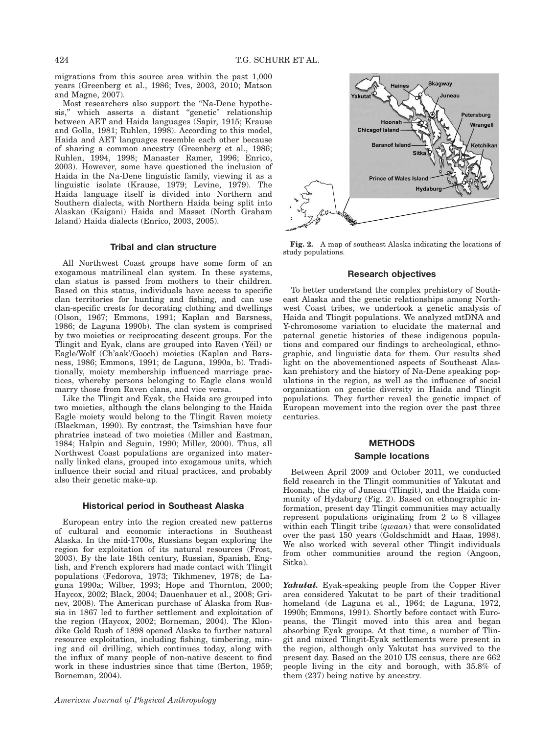migrations from this source area within the past 1,000 years (Greenberg et al., 1986; Ives, 2003, 2010; Matson and Magne, 2007).

Most researchers also support the ''Na-Dene hypothesis,'' which asserts a distant ''genetic" relationship between AET and Haida languages (Sapir, 1915; Krause and Golla, 1981; Ruhlen, 1998). According to this model, Haida and AET languages resemble each other because of sharing a common ancestry (Greenberg et al., 1986; Ruhlen, 1994, 1998; Manaster Ramer, 1996; Enrico, 2003). However, some have questioned the inclusion of Haida in the Na-Dene linguistic family, viewing it as a linguistic isolate (Krause, 1979; Levine, 1979). The Haida language itself is divided into Northern and Southern dialects, with Northern Haida being split into Alaskan (Kaigani) Haida and Masset (North Graham Island) Haida dialects (Enrico, 2003, 2005).

# Tribal and clan structure

All Northwest Coast groups have some form of an exogamous matrilineal clan system. In these systems, clan status is passed from mothers to their children. Based on this status, individuals have access to specific clan territories for hunting and fishing, and can use clan-specific crests for decorating clothing and dwellings (Olson, 1967; Emmons, 1991; Kaplan and Barsness, 1986; de Laguna 1990b). The clan system is comprised by two moieties or reciprocating descent groups. For the Tlingit and Eyak, clans are grouped into Raven (Yéil) or Eagle/Wolf (Ch'aak'/Gooch) moieties (Kaplan and Barsness, 1986; Emmons, 1991; de Laguna, 1990a, b). Traditionally, moiety membership influenced marriage practices, whereby persons belonging to Eagle clans would marry those from Raven clans, and vice versa.

Like the Tlingit and Eyak, the Haida are grouped into two moieties, although the clans belonging to the Haida Eagle moiety would belong to the Tlingit Raven moiety (Blackman, 1990). By contrast, the Tsimshian have four phratries instead of two moieties (Miller and Eastman, 1984; Halpin and Seguin, 1990; Miller, 2000). Thus, all Northwest Coast populations are organized into maternally linked clans, grouped into exogamous units, which influence their social and ritual practices, and probably also their genetic make-up.

#### Historical period in Southeast Alaska

European entry into the region created new patterns of cultural and economic interactions in Southeast Alaska. In the mid-1700s, Russians began exploring the region for exploitation of its natural resources (Frost, 2003). By the late 18th century, Russian, Spanish, English, and French explorers had made contact with Tlingit populations (Fedorova, 1973; Tikhmenev, 1978; de Laguna 1990a; Wilber, 1993; Hope and Thornton, 2000; Haycox, 2002; Black, 2004; Dauenhauer et al., 2008; Grinev, 2008). The American purchase of Alaska from Russia in 1867 led to further settlement and exploitation of the region (Haycox, 2002; Borneman, 2004). The Klondike Gold Rush of 1898 opened Alaska to further natural resource exploitation, including fishing, timbering, mining and oil drilling, which continues today, along with the influx of many people of non-native descent to find work in these industries since that time (Berton, 1959; Borneman, 2004).



Fig. 2. A map of southeast Alaska indicating the locations of study populations.

#### Research objectives

To better understand the complex prehistory of Southeast Alaska and the genetic relationships among Northwest Coast tribes, we undertook a genetic analysis of Haida and Tlingit populations. We analyzed mtDNA and Y-chromosome variation to elucidate the maternal and paternal genetic histories of these indigenous populations and compared our findings to archeological, ethnographic, and linguistic data for them. Our results shed light on the abovementioned aspects of Southeast Alaskan prehistory and the history of Na-Dene speaking populations in the region, as well as the influence of social organization on genetic diversity in Haida and Tlingit populations. They further reveal the genetic impact of European movement into the region over the past three centuries.

#### METHODS

#### Sample locations

Between April 2009 and October 2011, we conducted field research in the Tlingit communities of Yakutat and Hoonah, the city of Juneau (Tlingit), and the Haida community of Hydaburg (Fig. 2). Based on ethnographic information, present day Tlingit communities may actually represent populations originating from 2 to 8 villages within each Tlingit tribe (qwaan) that were consolidated over the past 150 years (Goldschmidt and Haas, 1998). We also worked with several other Tlingit individuals from other communities around the region (Angoon, Sitka).

Yakutat. Eyak-speaking people from the Copper River area considered Yakutat to be part of their traditional homeland (de Laguna et al., 1964; de Laguna, 1972, 1990b; Emmons, 1991). Shortly before contact with Europeans, the Tlingit moved into this area and began absorbing Eyak groups. At that time, a number of Tlingit and mixed Tlingit-Eyak settlements were present in the region, although only Yakutat has survived to the present day. Based on the 2010 US census, there are 662 people living in the city and borough, with 35.8% of them (237) being native by ancestry.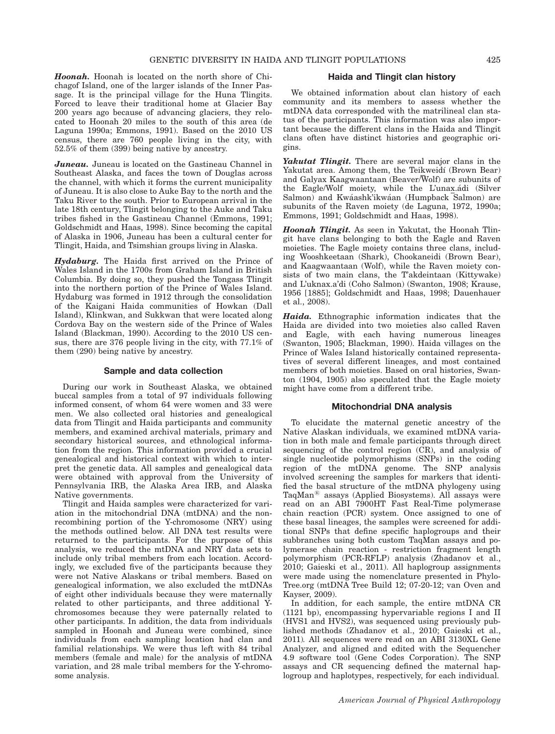Hoonah. Hoonah is located on the north shore of Chichagof Island, one of the larger islands of the Inner Passage. It is the principal village for the Huna Tlingits. Forced to leave their traditional home at Glacier Bay 200 years ago because of advancing glaciers, they relocated to Hoonah 20 miles to the south of this area (de Laguna 1990a; Emmons, 1991). Based on the 2010 US census, there are 760 people living in the city, with 52.5% of them (399) being native by ancestry.

**Juneau.** Juneau is located on the Gastineau Channel in Southeast Alaska, and faces the town of Douglas across the channel, with which it forms the current municipality of Juneau. It is also close to Auke Bay to the north and the Taku River to the south. Prior to European arrival in the late 18th century, Tlingit belonging to the Auke and Taku tribes fished in the Gastineau Channel (Emmons, 1991; Goldschmidt and Haas, 1998). Since becoming the capital of Alaska in 1906, Juneau has been a cultural center for Tlingit, Haida, and Tsimshian groups living in Alaska.

Hydaburg. The Haida first arrived on the Prince of Wales Island in the 1700s from Graham Island in British Columbia. By doing so, they pushed the Tongass Tlingit into the northern portion of the Prince of Wales Island. Hydaburg was formed in 1912 through the consolidation of the Kaigani Haida communities of Howkan (Dall Island), Klinkwan, and Sukkwan that were located along Cordova Bay on the western side of the Prince of Wales Island (Blackman, 1990). According to the 2010 US census, there are 376 people living in the city, with 77.1% of them (290) being native by ancestry.

#### Sample and data collection

During our work in Southeast Alaska, we obtained buccal samples from a total of 97 individuals following informed consent, of whom 64 were women and 33 were men. We also collected oral histories and genealogical data from Tlingit and Haida participants and community members, and examined archival materials, primary and secondary historical sources, and ethnological information from the region. This information provided a crucial genealogical and historical context with which to interpret the genetic data. All samples and genealogical data were obtained with approval from the University of Pennsylvania IRB, the Alaska Area IRB, and Alaska Native governments.

Tlingit and Haida samples were characterized for variation in the mitochondrial DNA (mtDNA) and the nonrecombining portion of the Y-chromosome (NRY) using the methods outlined below. All DNA test results were returned to the participants. For the purpose of this analysis, we reduced the mtDNA and NRY data sets to include only tribal members from each location. Accordingly, we excluded five of the participants because they were not Native Alaskans or tribal members. Based on genealogical information, we also excluded the mtDNAs of eight other individuals because they were maternally related to other participants, and three additional Ychromosomes because they were paternally related to other participants. In addition, the data from individuals sampled in Hoonah and Juneau were combined, since individuals from each sampling location had clan and familial relationships. We were thus left with 84 tribal members (female and male) for the analysis of mtDNA variation, and 28 male tribal members for the Y-chromosome analysis.

# Haida and Tlingit clan history

We obtained information about clan history of each community and its members to assess whether the mtDNA data corresponded with the matrilineal clan status of the participants. This information was also important because the different clans in the Haida and Tlingit clans often have distinct histories and geographic origins.

Yakutat Tlingit. There are several major clans in the Yakutat area. Among them, the Teikweidí (Brown Bear) and Galyax Kaagwaantaan (Beaver/Wolf) are subunits of the Eagle/Wolf moiety, while the L'unax.adi (Silver Salmon) and Kwáashk'ikwáan (Humpback Salmon) are subunits of the Raven moiety (de Laguna, 1972, 1990a; Emmons, 1991; Goldschmidt and Haas, 1998).

Hoonah Tlingit. As seen in Yakutat, the Hoonah Tlingit have clans belonging to both the Eagle and Raven moieties. The Eagle moiety contains three clans, including Wooshkeetaan (Shark), Chookaneidi (Brown Bear), and Kaagwaantaan (Wolf), while the Raven moiety consists of two main clans, the T'akdeintaan (Kittywake) and L'uknax.a'di (Coho Salmon) (Swanton, 1908; Krause, 1956 [1885]; Goldschmidt and Haas, 1998; Dauenhauer et al., 2008).

Haida. Ethnographic information indicates that the Haida are divided into two moieties also called Raven and Eagle, with each having numerous lineages (Swanton, 1905; Blackman, 1990). Haida villages on the Prince of Wales Island historically contained representatives of several different lineages, and most contained members of both moieties. Based on oral histories, Swanton (1904, 1905) also speculated that the Eagle moiety might have come from a different tribe.

#### Mitochondrial DNA analysis

To elucidate the maternal genetic ancestry of the Native Alaskan individuals, we examined mtDNA variation in both male and female participants through direct sequencing of the control region (CR), and analysis of single nucleotide polymorphisms (SNPs) in the coding region of the mtDNA genome. The SNP analysis involved screening the samples for markers that identified the basal structure of the mtDNA phylogeny using TaqMan $^{\circledR}$  assays (Applied Biosystems). All assays were read on an ABI 7900HT Fast Real-Time polymerase chain reaction (PCR) system. Once assigned to one of these basal lineages, the samples were screened for additional SNPs that define specific haplogroups and their subbranches using both custom TaqMan assays and polymerase chain reaction - restriction fragment length polymorphism (PCR-RFLP) analysis (Zhadanov et al., 2010; Gaieski et al., 2011). All haplogroup assignments were made using the nomenclature presented in Phylo-Tree.org (mtDNA Tree Build 12; 07-20-12; van Oven and Kayser, 2009).

In addition, for each sample, the entire mtDNA CR (1121 bp), encompassing hypervariable regions I and II (HVS1 and HVS2), was sequenced using previously published methods (Zhadanov et al., 2010; Gaieski et al., 2011). All sequences were read on an ABI 3130XL Gene Analyzer, and aligned and edited with the Sequencher 4.9 software tool (Gene Codes Corporation). The SNP assays and CR sequencing defined the maternal haplogroup and haplotypes, respectively, for each individual.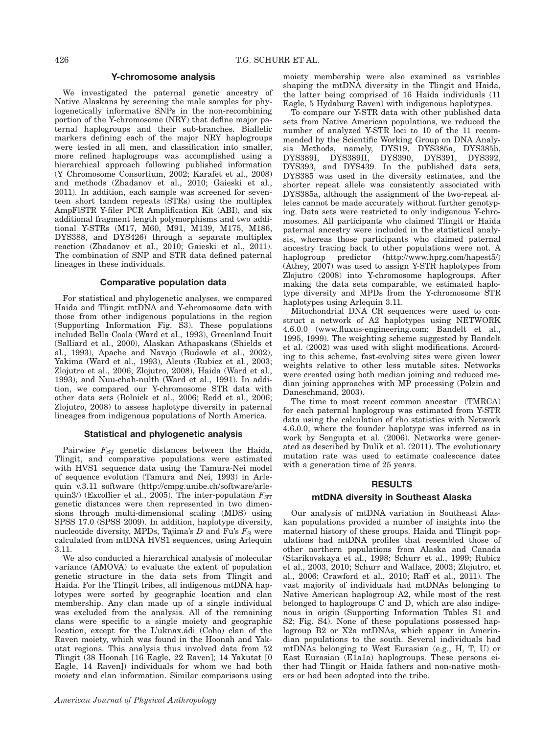#### Y-chromosome analysis

We investigated the paternal genetic ancestry of Native Alaskans by screening the male samples for phylogenetically informative SNPs in the non-recombining portion of the Y-chromosome (NRY) that define major paternal haplogroups and their sub-branches. Biallelic markers defining each of the major NRY haplogroups were tested in all men, and classification into smaller, more refined haplogroups was accomplished using a hierarchical approach following published information (Y Chromosome Consortium, 2002; Karafet et al., 2008) and methods (Zhadanov et al., 2010; Gaieski et al., 2011). In addition, each sample was screened for seventeen short tandem repeats (STRs) using the multiplex AmpFlSTR Y-filer PCR Amplification Kit (ABI), and six additional fragment length polymorphisms and two additional Y-STRs (M17, M60, M91, M139, M175, M186, DYS388, and DYS426) through a separate multiplex reaction (Zhadanov et al., 2010; Gaieski et al., 2011). The combination of SNP and STR data defined paternal lineages in these individuals.

#### Comparative population data

For statistical and phylogenetic analyses, we compared Haida and Tlingit mtDNA and Y-chromosome data with those from other indigenous populations in the region (Supporting Information Fig. S3). These populations included Bella Coola (Ward et al., 1993), Greenland Inuit (Salliard et al., 2000), Alaskan Athapaskans (Shields et al., 1993), Apache and Navajo (Budowle et al., 2002), Yakima (Ward et al., 1993), Aleuts (Rubicz et al., 2003; Zlojutro et al., 2006; Zlojutro, 2008), Haida (Ward et al., 1993), and Nuu-chah-nulth (Ward et al., 1991). In addition, we compared our Y-chromosome STR data with other data sets (Bolnick et al., 2006; Redd et al., 2006; Zlojutro, 2008) to assess haplotype diversity in paternal lineages from indigenous populations of North America.

#### Statistical and phylogenetic analysis

Pairwise  $F_{ST}$  genetic distances between the Haida, Tlingit, and comparative populations were estimated with HVS1 sequence data using the Tamura-Nei model of sequence evolution (Tamura and Nei, 1993) in Arlequin v.3.11 software (http://cmpg.unibe.ch/software/arlequin3/) (Excoffier et al., 2005). The inter-population  $F_{ST}$ genetic distances were then represented in two dimensions through multi-dimensional scaling (MDS) using SPSS 17.0 (SPSS 2009). In addition, haplotype diversity, nucleotide diversity, MPDs, Tajima's  $D$  and Fu's  $F_S$  were calculated from mtDNA HVS1 sequences, using Arlequin 3.11.

We also conducted a hierarchical analysis of molecular variance (AMOVA) to evaluate the extent of population genetic structure in the data sets from Tlingit and Haida. For the Tlingit tribes, all indigenous mtDNA haplotypes were sorted by geographic location and clan membership. Any clan made up of a single individual was excluded from the analysis. All of the remaining clans were specific to a single moiety and geographic location, except for the L'uknax.adi (Coho) clan of the Raven moiety, which was found in the Hoonah and Yakutat regions. This analysis thus involved data from 52 Tlingit (38 Hoonah [16 Eagle, 22 Raven]; 14 Yakutat [0 Eagle, 14 Raven]) individuals for whom we had both moiety and clan information. Similar comparisons using

moiety membership were also examined as variables shaping the mtDNA diversity in the Tlingit and Haida, the latter being comprised of 16 Haida individuals (11 Eagle, 5 Hydaburg Raven) with indigenous haplotypes.

To compare our Y-STR data with other published data sets from Native American populations, we reduced the number of analyzed Y-STR loci to 10 of the 11 recommended by the Scientific Working Group on DNA Analysis Methods, namely, DYS19, DYS385a, DYS385b, DYS389I, DYS389II, DYS390, DYS391, DYS392, DYS393, and DYS439. In the published data sets, DYS385 was used in the diversity estimates, and the shorter repeat allele was consistently associated with DYS385a, although the assignment of the two-repeat alleles cannot be made accurately without further genotyping. Data sets were restricted to only indigenous Y-chromosomes. All participants who claimed Tlingit or Haida paternal ancestry were included in the statistical analysis, whereas those participants who claimed paternal ancestry tracing back to other populations were not. A haplogroup predictor (http://www.hprg.com/hapest5/) (Athey, 2007) was used to assign Y-STR haplotypes from Zlojutro (2008) into Y-chromosome haplogroups. After making the data sets comparable, we estimated haplotype diversity and MPDs from the Y-chromosome STR haplotypes using Arlequin 3.11.

Mitochondrial DNA CR sequences were used to construct a network of A2 haplotypes using NETWORK 4.6.0.0 (www.fluxus-engineering.com; Bandelt et al., 1995, 1999). The weighting scheme suggested by Bandelt et al. (2002) was used with slight modifications. According to this scheme, fast-evolving sites were given lower weights relative to other less mutable sites. Networks were created using both median joining and reduced median joining approaches with MP processing (Polzin and Daneschmand, 2003).

The time to most recent common ancestor (TMRCA) for each paternal haplogroup was estimated from Y-STR data using the calculation of rho statistics with Network 4.6.0.0, where the founder haplotype was inferred as in work by Sengupta et al. (2006). Networks were generated as described by Dulik et al. (2011). The evolutionary mutation rate was used to estimate coalescence dates with a generation time of 25 years.

#### RESULTS

#### mtDNA diversity in Southeast Alaska

Our analysis of mtDNA variation in Southeast Alaskan populations provided a number of insights into the maternal history of these groups. Haida and Tlingit populations had mtDNA profiles that resembled those of other northern populations from Alaska and Canada (Starikovskaya et al., 1998; Schurr et al., 1999; Rubicz et al., 2003, 2010; Schurr and Wallace, 2003; Zlojutro, et al., 2006; Crawford et al., 2010; Raff et al., 2011). The vast majority of individuals had mtDNAs belonging to Native American haplogroup A2, while most of the rest belonged to haplogroups C and D, which are also indigenous in origin (Supporting Information Tables S1 and S2; Fig. S4). None of these populations possessed haplogroup B2 or X2a mtDNAs, which appear in Amerindian populations to the south. Several individuals had mtDNAs belonging to West Eurasian (e.g., H, T, U) or East Eurasian (E1a1a) haplogroups. These persons either had Tlingit or Haida fathers and non-native mothers or had been adopted into the tribe.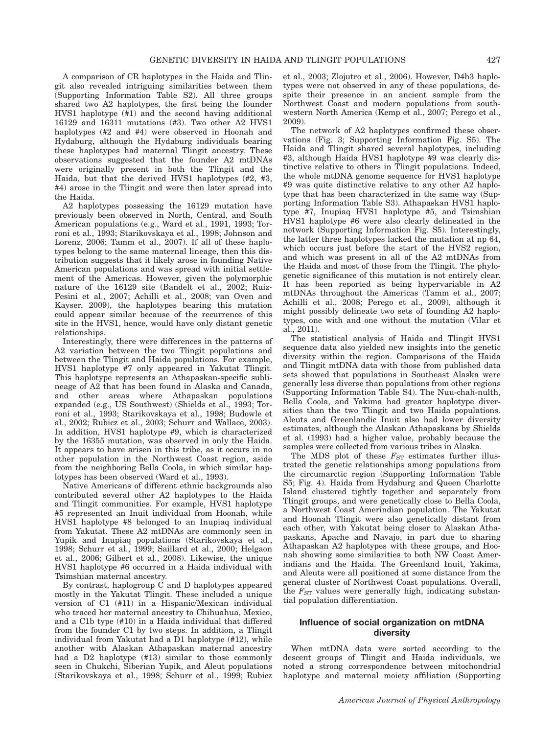A comparison of CR haplotypes in the Haida and Tlingit also revealed intriguing similarities between them (Supporting Information Table S2). All three groups shared two A2 haplotypes, the first being the founder HVS1 haplotype (#1) and the second having additional 16129 and 16311 mutations (#3). Two other A2 HVS1 haplotypes (#2 and #4) were observed in Hoonah and Hydaburg, although the Hydaburg individuals bearing these haplotypes had maternal Tlingit ancestry. These observations suggested that the founder A2 mtDNAs were originally present in both the Tlingit and the Haida, but that the derived HVS1 haplotypes (#2, #3, #4) arose in the Tlingit and were then later spread into the Haida.

A2 haplotypes possessing the 16129 mutation have previously been observed in North, Central, and South American populations (e.g., Ward et al., 1991, 1993; Torroni et al., 1993; Starikovskaya et al., 1998; Johnson and Lorenz, 2006; Tamm et al., 2007). If all of these haplotypes belong to the same maternal lineage, then this distribution suggests that it likely arose in founding Native American populations and was spread with initial settlement of the Americas. However, given the polymorphic nature of the 16129 site (Bandelt et al., 2002; Ruiz-Pesini et al., 2007; Achilli et al., 2008; van Oven and Kayser, 2009), the haplotypes bearing this mutation could appear similar because of the recurrence of this site in the HVS1, hence, would have only distant genetic relationships.

Interestingly, there were differences in the patterns of A2 variation between the two Tlingit populations and between the Tlingit and Haida populations. For example, HVS1 haplotype #7 only appeared in Yakutat Tlingit. This haplotype represents an Athapaskan-specific sublineage of A2 that has been found in Alaska and Canada, and other areas where Athapaskan populations expanded (e.g., US Southwest) (Shields et al., 1993; Torroni et al., 1993; Starikovskaya et al., 1998; Budowle et al., 2002; Rubicz et al., 2003; Schurr and Wallace, 2003). In addition, HVS1 haplotype #9, which is characterized by the 16355 mutation, was observed in only the Haida. It appears to have arisen in this tribe, as it occurs in no other population in the Northwest Coast region, aside from the neighboring Bella Coola, in which similar haplotypes has been observed (Ward et al., 1993).

Native Americans of different ethnic backgrounds also contributed several other A2 haplotypes to the Haida and Tlingit communities. For example, HVS1 haplotype #5 represented an Inuit individual from Hoonah, while HVS1 haplotype #8 belonged to an Inupiaq individual from Yakutat. These A2 mtDNAs are commonly seen in Yupik and Inupiaq populations (Starikovskaya et al., 1998; Schurr et al., 1999; Saillard et al., 2000; Helgaon et al., 2006; Gilbert et al., 2008). Likewise, the unique HVS1 haplotype #6 occurred in a Haida individual with Tsimshian maternal ancestry.

By contrast, haplogroup  $\dot{C}$  and D haplotypes appeared mostly in the Yakutat Tlingit. These included a unique version of C1 (#11) in a Hispanic/Mexican individual who traced her maternal ancestry to Chihuahua, Mexico, and a C1b type (#10) in a Haida individual that differed from the founder C1 by two steps. In addition, a Tlingit individual from Yakutat had a D1 haplotype (#12), while another with Alaskan Athapaskan maternal ancestry had a D2 haplotype (#13) similar to those commonly seen in Chukchi, Siberian Yupik, and Aleut populations (Starikovskaya et al., 1998; Schurr et al., 1999; Rubicz et al., 2003; Zlojutro et al., 2006). However, D4h3 haplotypes were not observed in any of these populations, despite their presence in an ancient sample from the Northwest Coast and modern populations from southwestern North America (Kemp et al., 2007; Perego et al., 2009).

The network of A2 haplotypes confirmed these observations (Fig. 3; Supporting Information Fig. S5). The Haida and Tlingit shared several haplotypes, including #3, although Haida HVS1 haplotype #9 was clearly distinctive relative to others in Tlingit populations. Indeed, the whole mtDNA genome sequence for HVS1 haplotype #9 was quite distinctive relative to any other A2 haplotype that has been characterized in the same way (Supporting Information Table S3). Athapaskan HVS1 haplotype #7, Inupiaq HVS1 haplotype #5, and Tsimshian HVS1 haplotype #6 were also clearly delineated in the network (Supporting Information Fig. S5). Interestingly, the latter three haplotypes lacked the mutation at np 64, which occurs just before the start of the HVS2 region, and which was present in all of the A2 mtDNAs from the Haida and most of those from the Tlingit. The phylogenetic significance of this mutation is not entirely clear. It has been reported as being hypervariable in A2 mtDNAs throughout the Americas (Tamm et al., 2007; Achilli et al., 2008; Perego et al., 2009), although it might possibly delineate two sets of founding A2 haplotypes, one with and one without the mutation (Vilar et al., 2011).

The statistical analysis of Haida and Tlingit HVS1 sequence data also yielded new insights into the genetic diversity within the region. Comparisons of the Haida and Tlingit mtDNA data with those from published data sets showed that populations in Southeast Alaska were generally less diverse than populations from other regions (Supporting Information Table S4). The Nuu-chah-nulth, Bella Coola, and Yakima had greater haplotype diversities than the two Tlingit and two Haida populations. Aleuts and Greenlandic Inuit also had lower diversity estimates, although the Alaskan Athapaskans by Shields et al. (1993) had a higher value, probably because the samples were collected from various tribes in Alaska.

The MDS plot of these  $F_{ST}$  estimates further illustrated the genetic relationships among populations from the circumarctic region (Supporting Information Table S5; Fig. 4). Haida from Hydaburg and Queen Charlotte Island clustered tightly together and separately from Tlingit groups, and were genetically close to Bella Coola, a Northwest Coast Amerindian population. The Yakutat and Hoonah Tlingit were also genetically distant from each other, with Yakutat being closer to Alaskan Athapaskans, Apache and Navajo, in part due to sharing Athapaskan A2 haplotypes with these groups, and Hoonah showing some similarities to both NW Coast Amerindians and the Haida. The Greenland Inuit, Yakima, and Aleuts were all positioned at some distance from the general cluster of Northwest Coast populations. Overall, the  $F_{ST}$  values were generally high, indicating substantial population differentiation.

# Influence of social organization on mtDNA diversity

When mtDNA data were sorted according to the descent groups of Tlingit and Haida individuals, we noted a strong correspondence between mitochondrial haplotype and maternal moiety affiliation (Supporting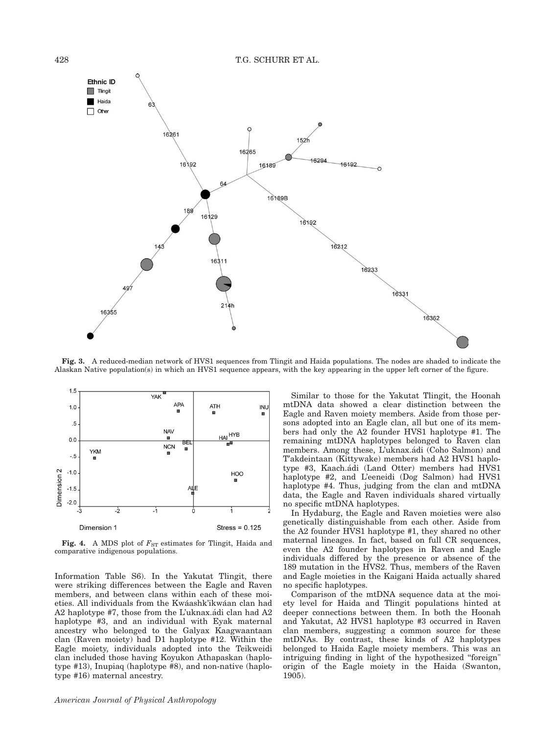

Fig. 3. A reduced-median network of HVS1 sequences from Tlingit and Haida populations. The nodes are shaded to indicate the Alaskan Native population(s) in which an HVS1 sequence appears, with the key appearing in the upper left corner of the figure.



Fig. 4. A MDS plot of  $F_{ST}$  estimates for Tlingit, Haida and comparative indigenous populations.

Information Table S6). In the Yakutat Tlingit, there were striking differences between the Eagle and Raven members, and between clans within each of these moieties. All individuals from the Kwáashk'ikwáan clan had A2 haplotype #7, those from the L'uknax.adi clan had A2 haplotype #3, and an individual with Eyak maternal ancestry who belonged to the Galyax Kaagwaantaan clan (Raven moiety) had D1 haplotype #12. Within the Eagle moiety, individuals adopted into the Teikweidi clan included those having Koyukon Athapaskan (haplotype #13), Inupiaq (haplotype #8), and non-native (haplotype #16) maternal ancestry.

Similar to those for the Yakutat Tlingit, the Hoonah mtDNA data showed a clear distinction between the Eagle and Raven moiety members. Aside from those persons adopted into an Eagle clan, all but one of its members had only the A2 founder HVS1 haplotype #1. The remaining mtDNA haplotypes belonged to Raven clan members. Among these, L'uknax.ádi (Coho Salmon) and T'akdeintaan (Kittywake) members had A2 HVS1 haplotype #3, Kaach.ádi (Land Otter) members had HVS1 haplotype #2, and L'eeneidi (Dog Salmon) had HVS1 haplotype #4. Thus, judging from the clan and mtDNA data, the Eagle and Raven individuals shared virtually no specific mtDNA haplotypes.

In Hydaburg, the Eagle and Raven moieties were also genetically distinguishable from each other. Aside from the A2 founder HVS1 haplotype #1, they shared no other maternal lineages. In fact, based on full CR sequences, even the A2 founder haplotypes in Raven and Eagle individuals differed by the presence or absence of the 189 mutation in the HVS2. Thus, members of the Raven and Eagle moieties in the Kaigani Haida actually shared no specific haplotypes.

Comparison of the mtDNA sequence data at the moiety level for Haida and Tlingit populations hinted at deeper connections between them. In both the Hoonah and Yakutat, A2 HVS1 haplotype #3 occurred in Raven clan members, suggesting a common source for these mtDNAs. By contrast, these kinds of A2 haplotypes belonged to Haida Eagle moiety members. This was an intriguing finding in light of the hypothesized ''foreign" origin of the Eagle moiety in the Haida (Swanton, 1905).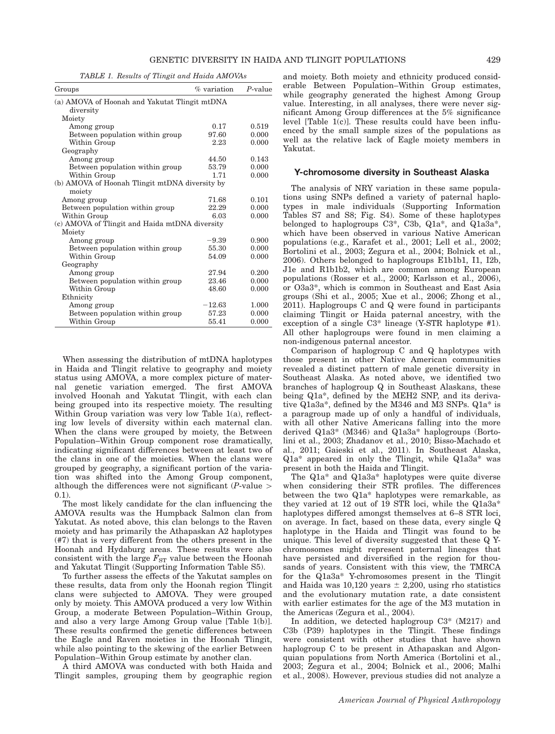TABLE 1. Results of Tlingit and Haida AMOVAs

| Groups                                         | % variation | $P$ -value |
|------------------------------------------------|-------------|------------|
| (a) AMOVA of Hoonah and Yakutat Tlingit mtDNA  |             |            |
| diversity                                      |             |            |
| Moiety                                         |             |            |
| Among group                                    | 0.17        | 0.519      |
| Between population within group                | 97.60       | 0.000      |
| Within Group                                   | 2.23        | 0.000      |
| Geography                                      |             |            |
| Among group                                    | 44.50       | 0.143      |
| Between population within group                | 53.79       | 0.000      |
| Within Group                                   | 1.71        | 0.000      |
| (b) AMOVA of Hoonah Tlingit mtDNA diversity by |             |            |
| moiety                                         |             |            |
| Among group                                    | 71.68       | 0.101      |
| Between population within group                | 22.29       | 0.000      |
| Within Group                                   | 6.03        | 0.000      |
| (c) AMOVA of Tlingit and Haida mtDNA diversity |             |            |
| Moiety                                         |             |            |
| Among group                                    | $-9.39$     | 0.900      |
| Between population within group                | 55.30       | 0.000      |
| Within Group                                   | 54.09       | 0.000      |
| Geography                                      |             |            |
| Among group                                    | 27.94       | 0.200      |
| Between population within group                | 23.46       | 0.000      |
| Within Group                                   | 48.60       | 0.000      |
| Ethnicity                                      |             |            |
| Among group                                    | $-12.63$    | 1.000      |
| Between population within group                | 57.23       | 0.000      |
| Within Group                                   | 55.41       | 0.000      |

When assessing the distribution of mtDNA haplotypes in Haida and Tlingit relative to geography and moiety status using AMOVA, a more complex picture of maternal genetic variation emerged. The first AMOVA involved Hoonah and Yakutat Tlingit, with each clan being grouped into its respective moiety. The resulting Within Group variation was very low Table 1(a), reflecting low levels of diversity within each maternal clan. When the clans were grouped by moiety, the Between Population–Within Group component rose dramatically, indicating significant differences between at least two of the clans in one of the moieties. When the clans were grouped by geography, a significant portion of the variation was shifted into the Among Group component, although the differences were not significant (*P*-value  $\ge$  $(0.1)$ .

The most likely candidate for the clan influencing the AMOVA results was the Humpback Salmon clan from Yakutat. As noted above, this clan belongs to the Raven moiety and has primarily the Athapaskan A2 haplotypes (#7) that is very different from the others present in the Hoonah and Hydaburg areas. These results were also consistent with the large  $F_{ST}$  value between the Hoonah and Yakutat Tlingit (Supporting Information Table S5).

To further assess the effects of the Yakutat samples on these results, data from only the Hoonah region Tlingit clans were subjected to AMOVA. They were grouped only by moiety. This AMOVA produced a very low Within Group, a moderate Between Population–Within Group, and also a very large Among Group value [Table 1(b)]. These results confirmed the genetic differences between the Eagle and Raven moieties in the Hoonah Tlingit, while also pointing to the skewing of the earlier Between Population–Within Group estimate by another clan.

A third AMOVA was conducted with both Haida and Tlingit samples, grouping them by geographic region and moiety. Both moiety and ethnicity produced considerable Between Population–Within Group estimates, while geography generated the highest Among Group value. Interesting, in all analyses, there were never significant Among Group differences at the 5% significance level [Table  $1(c)$ ]. These results could have been influenced by the small sample sizes of the populations as well as the relative lack of Eagle moiety members in Yakutat.

#### Y-chromosome diversity in Southeast Alaska

The analysis of NRY variation in these same populations using SNPs defined a variety of paternal haplotypes in male individuals (Supporting Information Tables S7 and S8; Fig. S4). Some of these haplotypes belonged to haplogroups C3\*, C3b, Q1a\*, and Q1a3a\*, which have been observed in various Native American populations (e.g., Karafet et al., 2001; Lell et al., 2002; Bortolini et al., 2003; Zegura et al., 2004; Bolnick et al., 2006). Others belonged to haplogroups E1b1b1, I1, I2b, J1e and R1b1b2, which are common among European populations (Rosser et al., 2000; Karlsson et al., 2006), or O3a3\*, which is common in Southeast and East Asia groups (Shi et al., 2005; Xue et al., 2006; Zhong et al., 2011). Haplogroups C and Q were found in participants claiming Tlingit or Haida paternal ancestry, with the exception of a single C3\* lineage (Y-STR haplotype #1). All other haplogroups were found in men claiming a non-indigenous paternal ancestor.

Comparison of haplogroup C and Q haplotypes with those present in other Native American communities revealed a distinct pattern of male genetic diversity in Southeast Alaska. As noted above, we identified two branches of haplogroup Q in Southeast Alaskans, these being Q1a\*, defined by the MEH2 SNP, and its derivative Q1a3a\*, defined by the M346 and M3 SNPs. Q1a\* is a paragroup made up of only a handful of individuals, with all other Native Americans falling into the more derived Q1a3\* (M346) and Q1a3a\* haplogroups (Bortolini et al., 2003; Zhadanov et al., 2010; Bisso-Machado et al., 2011; Gaieski et al., 2011). In Southeast Alaska, Q1a\* appeared in only the Tlingit, while Q1a3a\* was present in both the Haida and Tlingit.

The Q1a\* and Q1a3a\* haplotypes were quite diverse when considering their STR profiles. The differences between the two Q1a\* haplotypes were remarkable, as they varied at 12 out of 19 STR loci, while the Q1a3a\* haplotypes differed amongst themselves at 6–8 STR loci, on average. In fact, based on these data, every single Q haplotype in the Haida and Tlingit was found to be unique. This level of diversity suggested that these Q Ychromosomes might represent paternal lineages that have persisted and diversified in the region for thousands of years. Consistent with this view, the TMRCA for the Q1a3a\* Y-chromosomes present in the Tlingit and Haida was 10,120 years  $\pm$  2,200, using rho statistics and the evolutionary mutation rate, a date consistent with earlier estimates for the age of the M3 mutation in the Americas (Zegura et al., 2004).

In addition, we detected haplogroup C3\* (M217) and C3b (P39) haplotypes in the Tlingit. These findings were consistent with other studies that have shown haplogroup C to be present in Athapaskan and Algonquian populations from North America (Bortolini et al., 2003; Zegura et al., 2004; Bolnick et al., 2006; Malhi et al., 2008). However, previous studies did not analyze a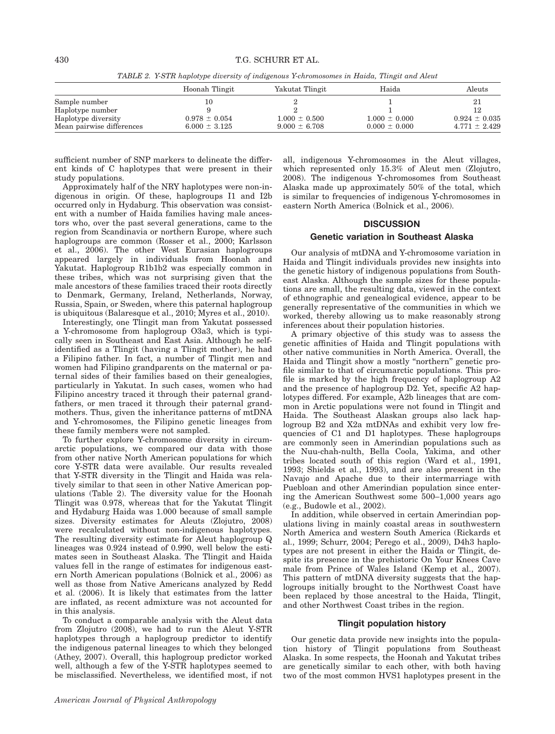TABLE 2. Y-STR haplotype diversity of indigenous Y-chromosomes in Haida, Tlingit and Aleut

|                           | Hoonah Tlingit    | Yakutat Tlingit   | Haida             | Aleuts            |
|---------------------------|-------------------|-------------------|-------------------|-------------------|
| Sample number             |                   |                   |                   | 21                |
| Haplotype number          |                   |                   |                   |                   |
| Haplotype diversity       | $0.978 \pm 0.054$ | $1.000 \pm 0.500$ | $1.000 \pm 0.000$ | $0.924 \pm 0.035$ |
| Mean pairwise differences | $6.000 \pm 3.125$ | $9.000 \pm 6.708$ | $0.000 \pm 0.000$ | $4.771 \pm 2.429$ |

sufficient number of SNP markers to delineate the different kinds of C haplotypes that were present in their study populations.

Approximately half of the NRY haplotypes were non-indigenous in origin. Of these, haplogroups I1 and I2b occurred only in Hydaburg. This observation was consistent with a number of Haida families having male ancestors who, over the past several generations, came to the region from Scandinavia or northern Europe, where such haplogroups are common (Rosser et al., 2000; Karlsson et al., 2006). The other West Eurasian haplogroups appeared largely in individuals from Hoonah and Yakutat. Haplogroup R1b1b2 was especially common in these tribes, which was not surprising given that the male ancestors of these families traced their roots directly to Denmark, Germany, Ireland, Netherlands, Norway, Russia, Spain, or Sweden, where this paternal haplogroup is ubiquitous (Balaresque et al., 2010; Myres et al., 2010).

Interestingly, one Tlingit man from Yakutat possessed a Y-chromosome from haplogroup O3a3, which is typically seen in Southeast and East Asia. Although he selfidentified as a Tlingit (having a Tlingit mother), he had a Filipino father. In fact, a number of Tlingit men and women had Filipino grandparents on the maternal or paternal sides of their families based on their genealogies, particularly in Yakutat. In such cases, women who had Filipino ancestry traced it through their paternal grandfathers, or men traced it through their paternal grandmothers. Thus, given the inheritance patterns of mtDNA and Y-chromosomes, the Filipino genetic lineages from these family members were not sampled.

To further explore Y-chromosome diversity in circumarctic populations, we compared our data with those from other native North American populations for which core Y-STR data were available. Our results revealed that Y-STR diversity in the Tlingit and Haida was relatively similar to that seen in other Native American populations (Table 2). The diversity value for the Hoonah Tlingit was 0.978, whereas that for the Yakutat Tlingit and Hydaburg Haida was 1.000 because of small sample sizes. Diversity estimates for Aleuts (Zlojutro, 2008) were recalculated without non-indigenous haplotypes. The resulting diversity estimate for Aleut haplogroup Q lineages was 0.924 instead of 0.990, well below the estimates seen in Southeast Alaska. The Tlingit and Haida values fell in the range of estimates for indigenous eastern North American populations (Bolnick et al., 2006) as well as those from Native Americans analyzed by Redd et al. (2006). It is likely that estimates from the latter are inflated, as recent admixture was not accounted for in this analysis.

To conduct a comparable analysis with the Aleut data from Zlojutro (2008), we had to run the Aleut Y-STR haplotypes through a haplogroup predictor to identify the indigenous paternal lineages to which they belonged (Athey, 2007). Overall, this haplogroup predictor worked well, although a few of the Y-STR haplotypes seemed to be misclassified. Nevertheless, we identified most, if not all, indigenous Y-chromosomes in the Aleut villages, which represented only 15.3% of Aleut men (Zlojutro, 2008). The indigenous Y-chromosomes from Southeast Alaska made up approximately 50% of the total, which is similar to frequencies of indigenous Y-chromosomes in eastern North America (Bolnick et al., 2006).

# **DISCUSSION** Genetic variation in Southeast Alaska

Our analysis of mtDNA and Y-chromosome variation in Haida and Tlingit individuals provides new insights into the genetic history of indigenous populations from Southeast Alaska. Although the sample sizes for these populations are small, the resulting data, viewed in the context of ethnographic and genealogical evidence, appear to be generally representative of the communities in which we worked, thereby allowing us to make reasonably strong inferences about their population histories.

A primary objective of this study was to assess the genetic affinities of Haida and Tlingit populations with other native communities in North America. Overall, the Haida and Tlingit show a mostly ''northern'' genetic profile similar to that of circumarctic populations. This profile is marked by the high frequency of haplogroup A2 and the presence of haplogroup D2. Yet, specific A2 haplotypes differed. For example, A2b lineages that are common in Arctic populations were not found in Tlingit and Haida. The Southeast Alaskan groups also lack haplogroup B2 and X2a mtDNAs and exhibit very low frequencies of C1 and D1 haplotypes. These haplogroups are commonly seen in Amerindian populations such as the Nuu-chah-nulth, Bella Coola, Yakima, and other tribes located south of this region (Ward et al., 1991, 1993; Shields et al., 1993), and are also present in the Navajo and Apache due to their intermarriage with Puebloan and other Amerindian population since entering the American Southwest some 500–1,000 years ago (e.g., Budowle et al., 2002).

In addition, while observed in certain Amerindian populations living in mainly coastal areas in southwestern North America and western South America (Rickards et al., 1999; Schurr, 2004; Perego et al., 2009), D4h3 haplotypes are not present in either the Haida or Tlingit, despite its presence in the prehistoric On Your Knees Cave male from Prince of Wales Island (Kemp et al., 2007). This pattern of mtDNA diversity suggests that the haplogroups initially brought to the Northwest Coast have been replaced by those ancestral to the Haida, Tlingit, and other Northwest Coast tribes in the region.

#### Tlingit population history

Our genetic data provide new insights into the population history of Tlingit populations from Southeast Alaska. In some respects, the Hoonah and Yakutat tribes are genetically similar to each other, with both having two of the most common HVS1 haplotypes present in the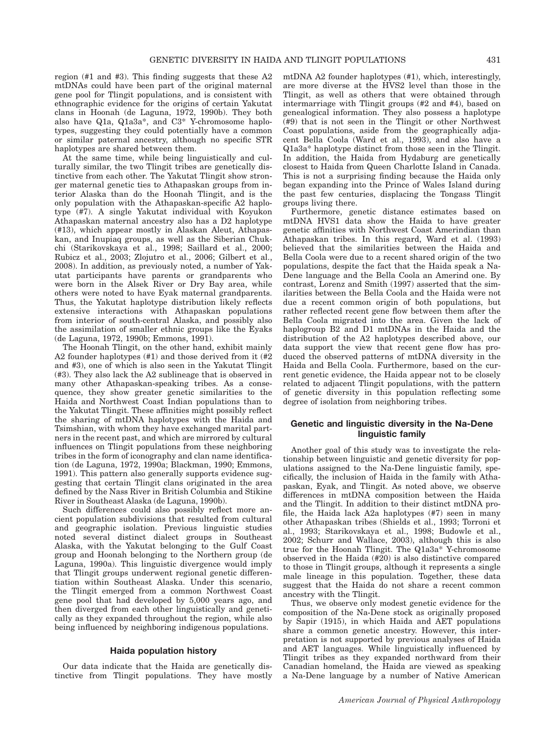region (#1 and #3). This finding suggests that these A2 mtDNAs could have been part of the original maternal gene pool for Tlingit populations, and is consistent with ethnographic evidence for the origins of certain Yakutat clans in Hoonah (de Laguna, 1972, 1990b). They both also have Q1a, Q1a3a\*, and C3\* Y-chromosome haplotypes, suggesting they could potentially have a common or similar paternal ancestry, although no specific STR haplotypes are shared between them.

At the same time, while being linguistically and culturally similar, the two Tlingit tribes are genetically distinctive from each other. The Yakutat Tlingit show stronger maternal genetic ties to Athapaskan groups from interior Alaska than do the Hoonah Tlingit, and is the only population with the Athapaskan-specific A2 haplotype (#7). A single Yakutat individual with Koyukon Athapaskan maternal ancestry also has a D2 haplotype (#13), which appear mostly in Alaskan Aleut, Athapaskan, and Inupiaq groups, as well as the Siberian Chukchi (Starikovskaya et al., 1998; Saillard et al., 2000; Rubicz et al., 2003; Zlojutro et al., 2006; Gilbert et al., 2008). In addition, as previously noted, a number of Yakutat participants have parents or grandparents who were born in the Alsek River or Dry Bay area, while others were noted to have Eyak maternal grandparents. Thus, the Yakutat haplotype distribution likely reflects extensive interactions with Athapaskan populations from interior of south-central Alaska, and possibly also the assimilation of smaller ethnic groups like the Eyaks (de Laguna, 1972, 1990b; Emmons, 1991).

The Hoonah Tlingit, on the other hand, exhibit mainly A2 founder haplotypes (#1) and those derived from it (#2 and #3), one of which is also seen in the Yakutat Tlingit (#3). They also lack the A2 sublineage that is observed in many other Athapaskan-speaking tribes. As a consequence, they show greater genetic similarities to the Haida and Northwest Coast Indian populations than to the Yakutat Tlingit. These affinities might possibly reflect the sharing of mtDNA haplotypes with the Haida and Tsimshian, with whom they have exchanged marital partners in the recent past, and which are mirrored by cultural influences on Tlingit populations from these neighboring tribes in the form of iconography and clan name identification (de Laguna, 1972, 1990a; Blackman, 1990; Emmons, 1991). This pattern also generally supports evidence suggesting that certain Tlingit clans originated in the area defined by the Nass River in British Columbia and Stikine River in Southeast Alaska (de Laguna, 1990b).

Such differences could also possibly reflect more ancient population subdivisions that resulted from cultural and geographic isolation. Previous linguistic studies noted several distinct dialect groups in Southeast Alaska, with the Yakutat belonging to the Gulf Coast group and Hoonah belonging to the Northern group (de Laguna, 1990a). This linguistic divergence would imply that Tlingit groups underwent regional genetic differentiation within Southeast Alaska. Under this scenario, the Tlingit emerged from a common Northwest Coast gene pool that had developed by 5,000 years ago, and then diverged from each other linguistically and genetically as they expanded throughout the region, while also being influenced by neighboring indigenous populations.

# Haida population history

Our data indicate that the Haida are genetically distinctive from Tlingit populations. They have mostly mtDNA A2 founder haplotypes (#1), which, interestingly, are more diverse at the HVS2 level than those in the Tlingit, as well as others that were obtained through intermarriage with Tlingit groups (#2 and #4), based on genealogical information. They also possess a haplotype (#9) that is not seen in the Tlingit or other Northwest Coast populations, aside from the geographically adjacent Bella Coola (Ward et al., 1993), and also have a Q1a3a\* haplotype distinct from those seen in the Tlingit. In addition, the Haida from Hydaburg are genetically closest to Haida from Queen Charlotte Island in Canada. This is not a surprising finding because the Haida only began expanding into the Prince of Wales Island during the past few centuries, displacing the Tongass Tlingit groups living there.

Furthermore, genetic distance estimates based on mtDNA HVS1 data show the Haida to have greater genetic affinities with Northwest Coast Amerindian than Athapaskan tribes. In this regard, Ward et al. (1993) believed that the similarities between the Haida and Bella Coola were due to a recent shared origin of the two populations, despite the fact that the Haida speak a Na-Dene language and the Bella Coola an Amerind one. By contrast, Lorenz and Smith (1997) asserted that the similarities between the Bella Coola and the Haida were not due a recent common origin of both populations, but rather reflected recent gene flow between them after the Bella Coola migrated into the area. Given the lack of haplogroup B2 and D1 mtDNAs in the Haida and the distribution of the A2 haplotypes described above, our data support the view that recent gene flow has produced the observed patterns of mtDNA diversity in the Haida and Bella Coola. Furthermore, based on the current genetic evidence, the Haida appear not to be closely related to adjacent Tlingit populations, with the pattern of genetic diversity in this population reflecting some degree of isolation from neighboring tribes.

# Genetic and linguistic diversity in the Na-Dene linguistic family

Another goal of this study was to investigate the relationship between linguistic and genetic diversity for populations assigned to the Na-Dene linguistic family, specifically, the inclusion of Haida in the family with Athapaskan, Eyak, and Tlingit. As noted above, we observe differences in mtDNA composition between the Haida and the Tlingit. In addition to their distinct mtDNA profile, the Haida lack A2a haplotypes (#7) seen in many other Athapaskan tribes (Shields et al., 1993; Torroni et al., 1993; Starikovskaya et al., 1998; Budowle et al., 2002; Schurr and Wallace, 2003), although this is also true for the Hoonah Tlingit. The Q1a3a\* Y-chromosome observed in the Haida (#20) is also distinctive compared to those in Tlingit groups, although it represents a single male lineage in this population. Together, these data suggest that the Haida do not share a recent common ancestry with the Tlingit.

Thus, we observe only modest genetic evidence for the composition of the Na-Dene stock as originally proposed by Sapir (1915), in which Haida and AET populations share a common genetic ancestry. However, this interpretation is not supported by previous analyses of Haida and AET languages. While linguistically influenced by Tlingit tribes as they expanded northward from their Canadian homeland, the Haida are viewed as speaking a Na-Dene language by a number of Native American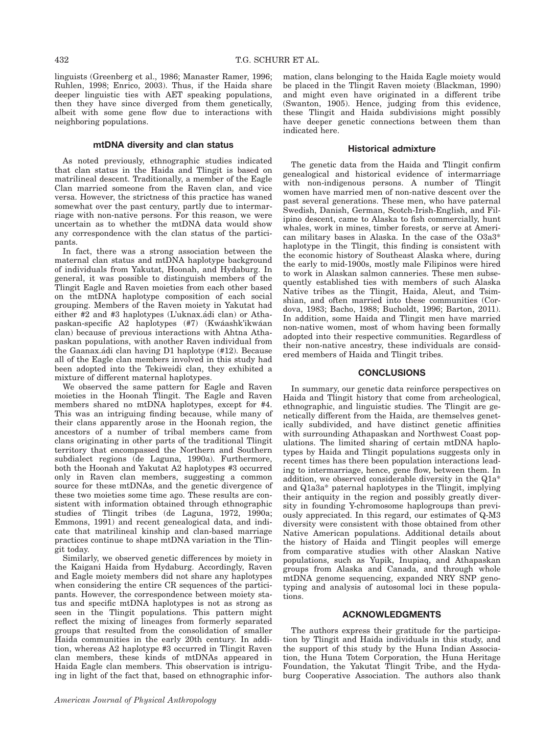linguists (Greenberg et al., 1986; Manaster Ramer, 1996; Ruhlen, 1998; Enrico, 2003). Thus, if the Haida share deeper linguistic ties with AET speaking populations, then they have since diverged from them genetically, albeit with some gene flow due to interactions with neighboring populations.

# mtDNA diversity and clan status

As noted previously, ethnographic studies indicated that clan status in the Haida and Tlingit is based on matrilineal descent. Traditionally, a member of the Eagle Clan married someone from the Raven clan, and vice versa. However, the strictness of this practice has waned somewhat over the past century, partly due to intermarriage with non-native persons. For this reason, we were uncertain as to whether the mtDNA data would show any correspondence with the clan status of the participants.

In fact, there was a strong association between the maternal clan status and mtDNA haplotype background of individuals from Yakutat, Hoonah, and Hydaburg. In general, it was possible to distinguish members of the Tlingit Eagle and Raven moieties from each other based on the mtDNA haplotype composition of each social grouping. Members of the Raven moiety in Yakutat had either  $#2$  and  $#3$  haplotypes (L'uknax. adi clan) or Athapaskan-specific A2 haplotypes (#7) (Kwáashk'ikwáan clan) because of previous interactions with Ahtna Athapaskan populations, with another Raven individual from the Gaanax.ádi clan having D1 haplotype (#12). Because all of the Eagle clan members involved in this study had been adopted into the Tekiweidi clan, they exhibited a mixture of different maternal haplotypes.

We observed the same pattern for Eagle and Raven moieties in the Hoonah Tlingit. The Eagle and Raven members shared no mtDNA haplotypes, except for #4. This was an intriguing finding because, while many of their clans apparently arose in the Hoonah region, the ancestors of a number of tribal members came from clans originating in other parts of the traditional Tlingit territory that encompassed the Northern and Southern subdialect regions (de Laguna, 1990a). Furthermore, both the Hoonah and Yakutat A2 haplotypes #3 occurred only in Raven clan members, suggesting a common source for these mtDNAs, and the genetic divergence of these two moieties some time ago. These results are consistent with information obtained through ethnographic studies of Tlingit tribes (de Laguna, 1972, 1990a; Emmons, 1991) and recent genealogical data, and indicate that matrilineal kinship and clan-based marriage practices continue to shape mtDNA variation in the Tlingit today.

Similarly, we observed genetic differences by moiety in the Kaigani Haida from Hydaburg. Accordingly, Raven and Eagle moiety members did not share any haplotypes when considering the entire CR sequences of the participants. However, the correspondence between moiety status and specific mtDNA haplotypes is not as strong as seen in the Tlingit populations. This pattern might reflect the mixing of lineages from formerly separated groups that resulted from the consolidation of smaller Haida communities in the early 20th century. In addition, whereas A2 haplotype #3 occurred in Tlingit Raven clan members, these kinds of mtDNAs appeared in Haida Eagle clan members. This observation is intriguing in light of the fact that, based on ethnographic information, clans belonging to the Haida Eagle moiety would be placed in the Tlingit Raven moiety (Blackman, 1990) and might even have originated in a different tribe (Swanton, 1905). Hence, judging from this evidence, these Tlingit and Haida subdivisions might possibly have deeper genetic connections between them than indicated here.

#### Historical admixture

The genetic data from the Haida and Tlingit confirm genealogical and historical evidence of intermarriage with non-indigenous persons. A number of Tlingit women have married men of non-native descent over the past several generations. These men, who have paternal Swedish, Danish, German, Scotch-Irish-English, and Filipino descent, came to Alaska to fish commercially, hunt whales, work in mines, timber forests, or serve at American military bases in Alaska. In the case of the O3a3\* haplotype in the Tlingit, this finding is consistent with the economic history of Southeast Alaska where, during the early to mid-1900s, mostly male Filipinos were hired to work in Alaskan salmon canneries. These men subsequently established ties with members of such Alaska Native tribes as the Tlingit, Haida, Aleut, and Tsimshian, and often married into these communities (Cordova, 1983; Bacho, 1988; Bucholdt, 1996; Barton, 2011). In addition, some Haida and Tlingit men have married non-native women, most of whom having been formally adopted into their respective communities. Regardless of their non-native ancestry, these individuals are considered members of Haida and Tlingit tribes.

# **CONCLUSIONS**

In summary, our genetic data reinforce perspectives on Haida and Tlingit history that come from archeological, ethnographic, and linguistic studies. The Tlingit are genetically different from the Haida, are themselves genetically subdivided, and have distinct genetic affinities with surrounding Athapaskan and Northwest Coast populations. The limited sharing of certain mtDNA haplotypes by Haida and Tlingit populations suggests only in recent times has there been population interactions leading to intermarriage, hence, gene flow, between them. In addition, we observed considerable diversity in the Q1a\* and Q1a3a\* paternal haplotypes in the Tlingit, implying their antiquity in the region and possibly greatly diversity in founding Y-chromosome haplogroups than previously appreciated. In this regard, our estimates of Q-M3 diversity were consistent with those obtained from other Native American populations. Additional details about the history of Haida and Tlingit peoples will emerge from comparative studies with other Alaskan Native populations, such as Yupik, Inupiaq, and Athapaskan groups from Alaska and Canada, and through whole mtDNA genome sequencing, expanded NRY SNP genotyping and analysis of autosomal loci in these populations.

#### ACKNOWLEDGMENTS

The authors express their gratitude for the participation by Tlingit and Haida individuals in this study, and the support of this study by the Huna Indian Association, the Huna Totem Corporation, the Huna Heritage Foundation, the Yakutat Tlingit Tribe, and the Hydaburg Cooperative Association. The authors also thank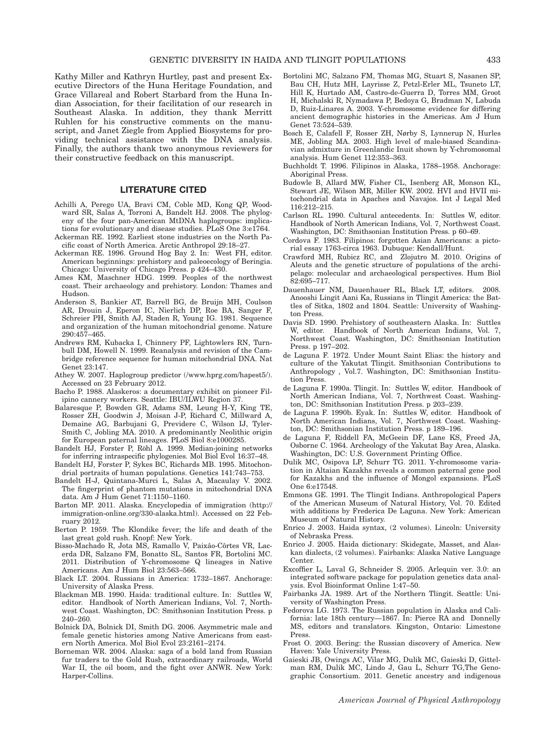Kathy Miller and Kathryn Hurtley, past and present Executive Directors of the Huna Heritage Foundation, and Grace Villareal and Robert Starbard from the Huna Indian Association, for their facilitation of our research in Southeast Alaska. In addition, they thank Merritt Ruhlen for his constructive comments on the manuscript, and Janet Ziegle from Applied Biosystems for providing technical assistance with the DNA analysis. Finally, the authors thank two anonymous reviewers for their constructive feedback on this manuscript.

# LITERATURE CITED

- Achilli A, Perego UA, Bravi CM, Coble MD, Kong QP, Woodward SR, Salas A, Torroni A, Bandelt HJ. 2008. The phylogeny of the four pan-American MtDNA haplogroups: implications for evolutionary and disease studies. PLoS One 3:e1764. Ackerman RE. 1992. Earliest stone industries on the North Pa-
- cific coast of North America. Arctic Anthropol 29:18–27.
- Ackerman RE. 1996. Ground Hog Bay 2. In: West FH, editor. American beginnings: prehistory and paleoecology of Beringia. Chicago: University of Chicago Press. p 424–430.
- Ames KM, Maschner HDG. 1999. Peoples of the northwest coast. Their archaeology and prehistory. London: Thames and Hudson.
- Anderson S, Bankier AT, Barrell BG, de Bruijn MH, Coulson AR, Drouin J, Eperon IC, Nierlich DP, Roe BA, Sanger F, Schreier PH, Smith AJ, Staden R, Young IG. 1981. Sequence and organization of the human mitochondrial genome. Nature 290:457–465.
- Andrews RM, Kubacka I, Chinnery PF, Lightowlers RN, Turnbull DM, Howell N. 1999. Reanalysis and revision of the Cambridge reference sequence for human mitochondrial DNA. Nat Genet 23:147.
- Athey W. 2007. Haplogroup predictor (/www.hprg.com/hapest5/). Accessed on 23 February 2012.
- Bacho P. 1988. Alaskeros: a documentary exhibit on pioneer Filipino cannery workers. Seattle: IBU/ILWU Region 37.
- Balaresque P, Bowden GR, Adams SM, Leung H-Y, King TE, Rosser ZH, Goodwin J, Moisan J-P, Richard C, Millward A, Demaine AG, Barbujani G, Previdere C, Wilson IJ, Tyler-Smith C, Jobling MA. 2010. A predominantly Neolithic origin for European paternal lineages. PLoS Biol 8:e1000285.
- Bandelt HJ, Forster P, Röhl A. 1999. Median-joining networks for inferring intraspecific phylogenies. Mol Biol Evol 16:37–48.
- Bandelt HJ, Forster P, Sykes BC, Richards MB. 1995. Mitochondrial portraits of human populations. Genetics 141:743–753.
- Bandelt H-J, Quintana-Murci L, Salas A, Macaulay V. 2002. The fingerprint of phantom mutations in mitochondrial DNA data. Am J Hum Genet 71:1150–1160.
- Barton MP. 2011. Alaska. Encyclopedia of immigration (http:// immigration-online.org/330-alaska.html). Accessed on 22 February 2012.
- Berton P. 1959. The Klondike fever; the life and death of the last great gold rush. Knopf: New York.
- Bisso-Machado R, Jota MS, Ramallo V, Paixâo-Côrtes VR, Lacerda DR, Salzano FM, Bonatto SL, Santos FR, Bortolini MC. 2011. Distribution of Y-chromosome Q lineages in Native Americans. Am J Hum Biol 23:563–566.
- Black LT. 2004. Russians in America: 1732–1867. Anchorage: University of Alaska Press.
- Blackman MB. 1990. Haida: traditional culture. In: Suttles W, editor. Handbook of North American Indians, Vol. 7, Northwest Coast. Washington, DC: Smithsonian Institution Press. p 240–260.
- Bolnick DA, Bolnick DI, Smith DG. 2006. Asymmetric male and female genetic histories among Native Americans from eastern North America. Mol Biol Evol 23:2161–2174.
- Borneman WR. 2004. Alaska: saga of a bold land from Russian fur traders to the Gold Rush, extraordinary railroads, World War II, the oil boom, and the fight over ANWR. New York: Harper-Collins.
- Bortolini MC, Salzano FM, Thomas MG, Stuart S, Nasanen SP, Bau CH, Hutz MH, Layrisse Z, Petzl-Erler ML, Tsuneto LT, Hill K, Hurtado AM, Castro-de-Guerra D, Torres MM, Groot H, Michalski R, Nymadawa P, Bedoya G, Bradman N, Labuda D, Ruiz-Linares A. 2003. Y-chromosome evidence for differing ancient demographic histories in the Americas. Am J Hum Genet 73:524–539.
- Bosch E, Calafell F, Rosser ZH, Nørby S, Lynnerup N, Hurles ME, Jobling MA. 2003. High level of male-biased Scandinavian admixture in Greenlandic Inuit shown by Y-chromosomal analysis. Hum Genet 112:353–363.
- Buchholdt T. 1996. Filipinos in Alaska, 1788–1958. Anchorage: Aboriginal Press.
- Budowle B, Allard MW, Fisher CL, Isenberg AR, Monson KL, Stewart JE, Wilson MR, Miller KW. 2002. HVI and HVII mitochondrial data in Apaches and Navajos. Int J Legal Med 116:212–215.
- Carlson RL. 1990. Cultural antecedents. In: Suttles W, editor. Handbook of North American Indians, Vol. 7, Northwest Coast. Washington, DC: Smithsonian Institution Press. p 60–69.
- Cordova F. 1983. Filipinos: forgotten Asian Americans: a pictorial essay 1763-circa 1963. Dubuque: Kendall/Hunt.
- Crawford MH, Rubicz RC, and Zlojutro M. 2010. Origins of Aleuts and the genetic structure of populations of the archipelago: molecular and archaeological perspectives. Hum Biol  $82:695 - 717.$
- Dauenhauer NM, Dauenhauer RL, Black LT, editors. 2008. Anooshi Lingit Aani Ka, Russians in Tlingit America: the Battles of Sitka, 1802 and 1804. Seattle: University of Washington Press.
- Davis SD. 1990. Prehistory of southeastern Alaska. In: Suttles W, editor. Handbook of North American Indians, Vol. 7, Northwest Coast. Washington, DC: Smithsonian Institution Press. p 197–202.
- de Laguna F. 1972. Under Mount Saint Elias: the history and culture of the Yakutat Tlingit. Smithsonian Contributions to Anthropology , Vol.7. Washington, DC: Smithsonian Institution Press.
- de Laguna F. 1990a. Tlingit. In: Suttles W, editor. Handbook of North American Indians, Vol. 7, Northwest Coast. Washington, DC: Smithsonian Institution Press. p 203–239.
- de Laguna F. 1990b. Eyak. In: Suttles W, editor. Handbook of North American Indians, Vol. 7, Northwest Coast. Washington, DC: Smithsonian Institution Press. p 189–196.
- de Laguna F, Riddell FA, McGeein DF, Lane KS, Freed JA, Osborne C. 1964. Archeology of the Yakutat Bay Area, Alaska. Washington, DC: U.S. Government Printing Office.
- Dulik MC, Osipova LP, Schurr TG. 2011. Y-chromosome variation in Altaian Kazakhs reveals a common paternal gene pool for Kazakhs and the influence of Mongol expansions. PLoS One 6:e17548.
- Emmons GE. 1991. The Tlingit Indians. Anthropological Papers of the American Museum of Natural History, Vol. 70. Edited with additions by Frederica De Laguna. New York: American Museum of Natural History.
- Enrico J. 2003. Haida syntax, (2 volumes). Lincoln: University of Nebraska Press.
- Enrico J. 2005. Haida dictionary: Skidegate, Masset, and Alaskan dialects, (2 volumes). Fairbanks: Alaska Native Language Center.
- Excoffier L, Laval G, Schneider S. 2005. Arlequin ver. 3.0: an integrated software package for population genetics data analysis. Evol Bioinformat Online 1:47–50.
- Fairbanks JA. 1989. Art of the Northern Tlingit. Seattle: University of Washington Press.
- Fedorova LG. 1973. The Russian population in Alaska and California: late 18th century—1867. In: Pierce RA and Donnelly MS, editors and translators. Kingston, Ontario: Limestone Press.
- Frost O. 2003. Bering: the Russian discovery of America. New Haven: Yale University Press.
- Gaieski JB, Owings AC, Vilar MG, Dulik MC, Gaieski D, Gittelman RM, Dulik MC, Lindo J, Gau L, Schurr TG,The Genographic Consortium. 2011. Genetic ancestry and indigenous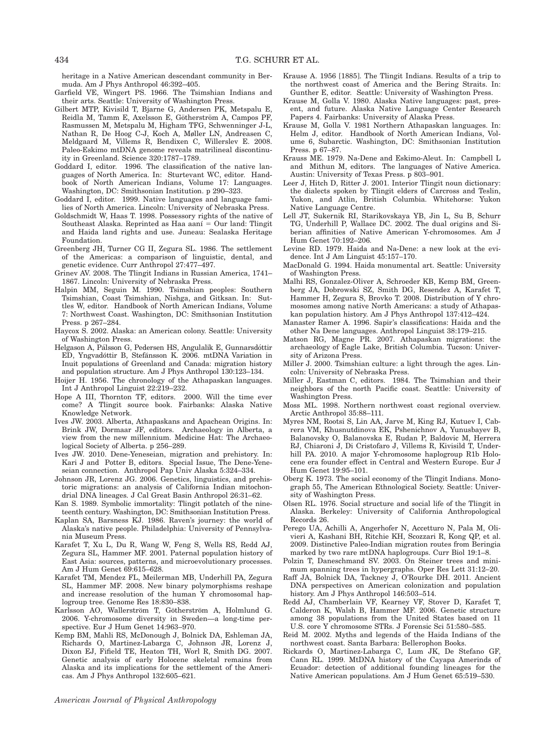heritage in a Native American descendant community in Bermuda. Am J Phys Anthropol 46:392–405.

- Garfield VE, Wingert PS. 1966. The Tsimshian Indians and their arts. Seattle: University of Washington Press.
- Gilbert MTP, Kivisild T, Bjarne G, Andersen PK, Metspalu E, Reidla M, Tamm E, Axelsson E, Götherström A, Campos PF, Rasmussen M, Metspalu M, Higham TFG, Schwenninger J-L, Nathan R, De Hoog C-J, Koch A, Møller LN, Andreasen C, Meldgaard M, Villems R, Bendixen C, Willerslev E. 2008. Paleo-Eskimo mtDNA genome reveals matrilineal discontinuity in Greenland. Science 320:1787–1789.
- Goddard I, editor. 1996. The classification of the native languages of North America. In: Sturtevant WC, editor. Handbook of North American Indians, Volume 17: Languages. Washington, DC: Smithsonian Institution. p 290–323.
- Goddard I, editor. 1999. Native languages and language families of North America. Lincoln: University of Nebraska Press.
- Goldschmidt W, Haas T. 1998. Possessory rights of the native of Southeast Alaska. Reprinted as Haa aani  $=$  Our land: Tlingit and Haida land rights and use. Juneau: Sealaska Heritage Foundation.
- Greenberg JH, Turner CG II, Zegura SL. 1986. The settlement of the Americas: a comparison of linguistic, dental, and genetic evidence. Curr Anthropol 27:477–497.
- Grinev AV. 2008. The Tlingit Indians in Russian America, 1741– 1867. Lincoln: University of Nebraska Press.
- Halpin MM, Seguin M. 1990. Tsimshian peoples: Southern Tsimshian, Coast Tsimshian, Nishga, and Gitksan. In: Suttles W, editor. Handbook of North American Indians, Volume 7: Northwest Coast. Washington, DC: Smithsonian Institution Press. p 267–284.
- Haycox S. 2002. Alaska: an American colony. Seattle: University of Washington Press.
- Helgason A, Pálsson G, Pedersen HS, Angulalik E, Gunnarsdóttir ED, Yngvadóttir B, Stefánsson K. 2006. mtDNA Variation in Inuit populations of Greenland and Canada: migration history and population structure. Am J Phys Anthropol 130:123–134.
- Hoijer H. 1956. The chronology of the Athapaskan languages. Int J Anthropol Linguist 22:219–232.
- Hope A III, Thornton TF, editors. 2000. Will the time ever come? A Tlingit source book. Fairbanks: Alaska Native Knowledge Network.
- Ives JW. 2003. Alberta, Athapaskans and Apachean Origins. In: Brink JW, Dormaar JF, editors. Archaeology in Alberta, a view from the new millennium. Medicine Hat: The Archaeological Society of Alberta. p 256–289.
- Ives JW. 2010. Dene-Yeneseian, migration and prehistory. In: Kari J and Potter B, editors. Special Issue, The Dene-Yeneseian connection. Anthropol Pap Univ Alaska 5:324–334.
- Johnson JR, Lorenz JG. 2006. Genetics, linguistics, and prehistoric migrations: an analysis of California Indian mitochondrial DNA lineages. J Cal Great Basin Anthropol 26:31–62.
- Kan S. 1989. Symbolic immortality: Tlingit potlatch of the nineteenth century. Washington, DC: Smithsonian Institution Press.
- Kaplan SA, Barsness KJ. 1986. Raven's journey: the world of Alaska's native people. Philadelphia: University of Pennsylvania Museum Press.
- Karafet T, Xu L, Du R, Wang W, Feng S, Wells RS, Redd AJ, Zegura SL, Hammer MF. 2001. Paternal population history of East Asia: sources, patterns, and microevolutionary processes. Am J Hum Genet 69:615–628.
- Karafet TM, Mendez FL, Meilerman MB, Underhill PA, Zegura SL, Hammer MF. 2008. New binary polymorphisms reshape and increase resolution of the human Y chromosomal haplogroup tree. Genome Res 18:830–838.
- Karlsson AO, Wallerström T, Götherström A, Holmlund G. 2006. Y-chromosome diversity in Sweden—a long-time perspective. Eur J Hum Genet 14:963–970.
- Kemp BM, Mahli RS, McDonough J, Bolnick DA, Eshleman JA, Richards O, Martinez-Labarga C, Johnson JR, Lorenz J, Dixon EJ, Fifield TE, Heaton TH, Worl R, Smith DG. 2007. Genetic analysis of early Holocene skeletal remains from Alaska and its implications for the settlement of the Americas. Am J Phys Anthropol 132:605–621.
- Krause A. 1956 [1885]. The Tlingit Indians. Results of a trip to the northwest coast of America and the Bering Straits. In: Gunther E, editor. Seattle: University of Washington Press.
- Krause M, Golla V. 1980. Alaska Native languages: past, present, and future. Alaska Native Language Center Research Papers 4. Fairbanks: University of Alaska Press.
- Krause M, Golla V. 1981 Northern Athapaskan languages. In: Helm J, editor. Handbook of North American Indians, Volume 6, Subarctic. Washington, DC: Smithsonian Institution Press. p 67–87.
- Krauss ME. 1979. Na-Dene and Eskimo-Aleut. In: Campbell L and Mithun M, editors. The languages of Native America. Austin: University of Texas Press. p 803–901.
- Leer J, Hitch D, Ritter J. 2001. Interior Tlingit noun dictionary: the dialects spoken by Tlingit elders of Carcross and Teslin, Yukon, and Atlin, British Columbia. Whitehorse: Yukon Native Language Centre.
- Lell JT, Sukernik RI, Starikovskaya YB, Jin L, Su B, Schurr TG, Underhill P, Wallace DC. 2002. The dual origins and Siberian affinities of Native American Y-chromosomes. Am J Hum Genet 70:192–206.
- Levine RD. 1979. Haida and Na-Dene: a new look at the evidence. Int J Am Linguist 45:157–170.
- MacDonald G. 1994. Haida monumental art. Seattle: University of Washington Press.
- Malhi RS, Gonzalez-Oliver A, Schroeder KB, Kemp BM, Greenberg JA, Dobrowski SZ, Smith DG, Resendez A, Karafet T, Hammer H, Zegura S, Brovko T. 2008. Distribution of Y chromosomes among native North Americans: a study of Athapaskan population history. Am J Phys Anthropol 137:412–424.
- Manaster Ramer A. 1996. Sapir's classifications: Haida and the other Na Dene languages. Anthropol Linguist 38:179–215.
- Matson RG, Magne PR. 2007. Athapaskan migrations: the archaeology of Eagle Lake, British Columbia. Tucson: University of Arizona Press.
- Miller J. 2000. Tsimshian culture: a light through the ages. Lincoln: University of Nebraska Press.
- Miller J, Eastman C, editors. 1984. The Tsimshian and their neighbors of the north Pacific coast. Seattle: University of Washington Press.
- Moss ML. 1998. Northern northwest coast regional overview. Arctic Anthropol 35:88–111.
- Myres NM, Rootsi S, Lin AA, Jarve M, King RJ, Kutuev I, Cabrera VM, Khusnutdinova EK, Pshenichnov A, Yunusbayev B, Balanovsky O, Balanovska E, Rudan P, Baldovic M, Herrera RJ, Chiaroni J, Di Cristofaro J, Villems R, Kivisild T, Underhill PA. 2010. A major Y-chromosome haplogroup R1b Holocene era founder effect in Central and Western Europe. Eur J Hum Genet 19:95–101.
- Oberg K. 1973. The social economy of the Tlingit Indians. Monograph 55, The American Ethnological Society. Seattle: University of Washington Press.
- Olsen RL. 1976. Social structure and social life of the Tlingit in Alaska. Berkeley: University of California Anthropological Records 26.
- Perego UA, Achilli A, Angerhofer N, Accetturo N, Pala M, Olivieri A, Kashani BH, Ritchie KH, Scozzari R, Kong QP, et al. 2009. Distinctive Paleo-Indian migration routes from Beringia marked by two rare mtDNA haplogroups. Curr Biol 19:1–8.
- Polzin T, Daneschmand SV. 2003. On Steiner trees and minimum spanning trees in hypergraphs. Oper Res Lett 31:12–20.
- Raff JA, Bolnick DA, Tackney J, O'Rourke DH. 2011. Ancient DNA perspectives on American colonization and population history. Am J Phys Anthropol 146:503–514.
- Redd AJ, Chamberlain VF, Kearney VF, Stover D, Karafet T, Calderon K, Walsh B, Hammer MF. 2006. Genetic structure among 38 populations from the United States based on 11 U.S. core Y chromosome STRs. J Forensic Sci 51:580–585.
- Reid M. 2002. Myths and legends of the Haida Indians of the northwest coast. Santa Barbara: Bellerophon Books.
- Rickards O, Martinez-Labarga C, Lum JK, De Stefano GF, Cann RL. 1999. MtDNA history of the Cayapa Amerinds of Ecuador: detection of additional founding lineages for the Native American populations. Am J Hum Genet 65:519–530.